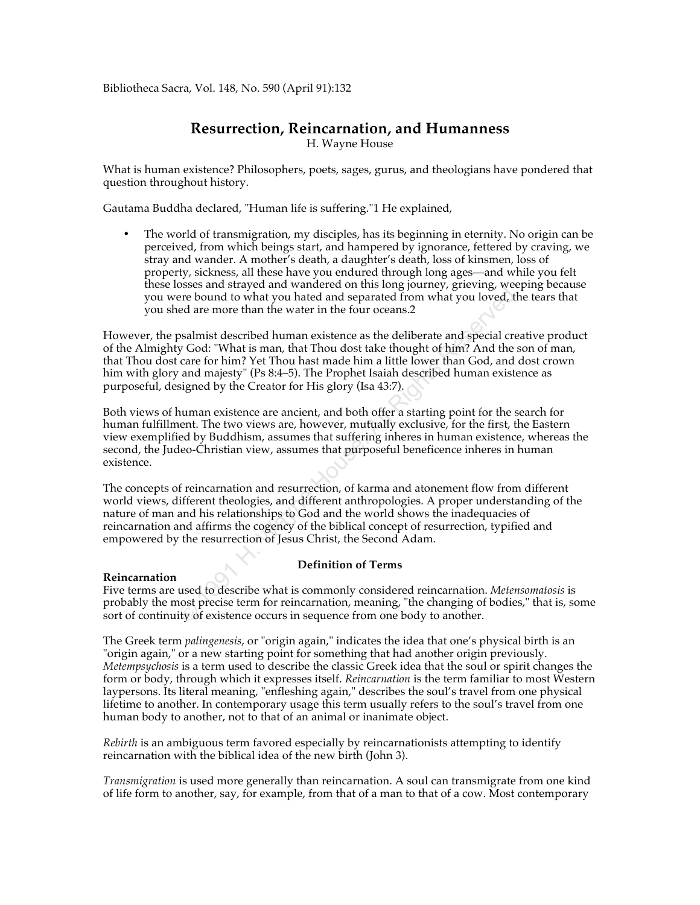Bibliotheca Sacra, Vol. 148, No. 590 (April 91):132

# **Resurrection, Reincarnation, and Humanness**

H. Wayne House

What is human existence? Philosophers, poets, sages, gurus, and theologians have pondered that question throughout history.

Gautama Buddha declared, "Human life is suffering."1 He explained,

• The world of transmigration, my disciples, has its beginning in eternity. No origin can be perceived, from which beings start, and hampered by ignorance, fettered by craving, we stray and wander. A mother's death, a daughter's death, loss of kinsmen, loss of property, sickness, all these have you endured through long ages—and while you felt these losses and strayed and wandered on this long journey, grieving, weeping because you were bound to what you hated and separated from what you loved, the tears that you shed are more than the water in the four oceans.2

Sossay and starty dare wanted on this long bodiny, giveving, we<br>crease bound to what you hated and separated from what you loved, the<br>referse bound to what you hated and separated from what you loved, the<br>ed are more than However, the psalmist described human existence as the deliberate and special creative product of the Almighty God: "What is man, that Thou dost take thought of him? And the son of man, that Thou dost care for him? Yet Thou hast made him a little lower than God, and dost crown him with glory and majesty" (Ps 8:4–5). The Prophet Isaiah described human existence as purposeful, designed by the Creator for His glory (Isa 43:7).

Both views of human existence are ancient, and both offer a starting point for the search for human fulfillment. The two views are, however, mutually exclusive, for the first, the Eastern view exemplified by Buddhism, assumes that suffering inheres in human existence, whereas the second, the Judeo-Christian view, assumes that purposeful beneficence inheres in human existence.

The concepts of reincarnation and resurrection, of karma and atonement flow from different world views, different theologies, and different anthropologies. A proper understanding of the nature of man and his relationships to God and the world shows the inadequacies of reincarnation and affirms the cogency of the biblical concept of resurrection, typified and empowered by the resurrection of Jesus Christ, the Second Adam.

### **Definition of Terms**

### **Reincarnation**

Five terms are used to describe what is commonly considered reincarnation. *Metensomatosis* is probably the most precise term for reincarnation, meaning, "the changing of bodies," that is, some sort of continuity of existence occurs in sequence from one body to another.

The Greek term *palingenesis*, or "origin again," indicates the idea that one's physical birth is an "origin again," or a new starting point for something that had another origin previously. *Metempsychosis* is a term used to describe the classic Greek idea that the soul or spirit changes the form or body, through which it expresses itself. *Reincarnation* is the term familiar to most Western laypersons. Its literal meaning, "enfleshing again," describes the soul's travel from one physical lifetime to another. In contemporary usage this term usually refers to the soul's travel from one human body to another, not to that of an animal or inanimate object.

*Rebirth* is an ambiguous term favored especially by reincarnationists attempting to identify reincarnation with the biblical idea of the new birth (John 3).

*Transmigration* is used more generally than reincarnation. A soul can transmigrate from one kind of life form to another, say, for example, from that of a man to that of a cow. Most contemporary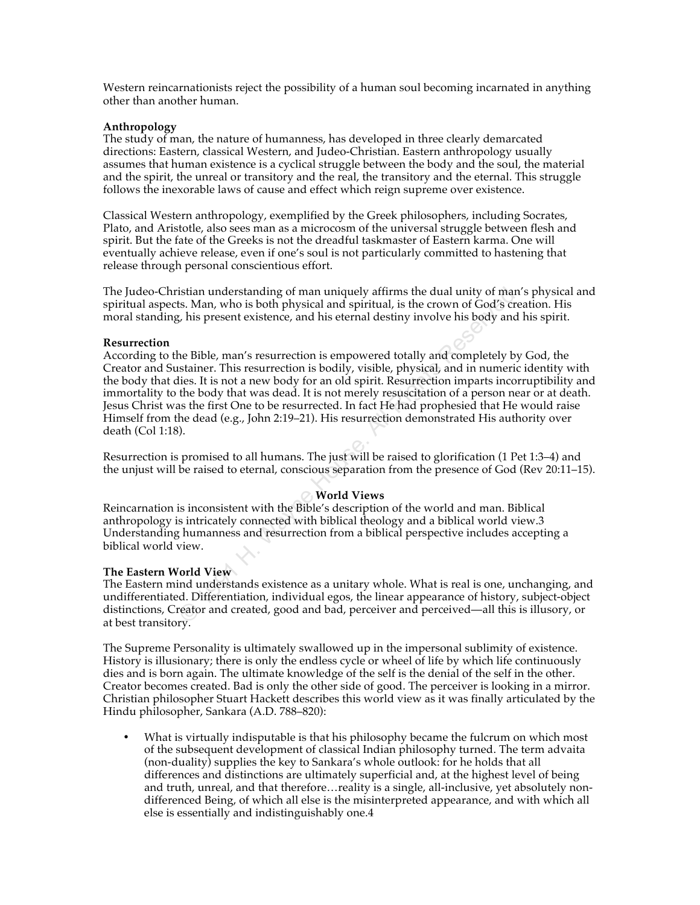Western reincarnationists reject the possibility of a human soul becoming incarnated in anything other than another human.

### **Anthropology**

The study of man, the nature of humanness, has developed in three clearly demarcated directions: Eastern, classical Western, and Judeo-Christian. Eastern anthropology usually assumes that human existence is a cyclical struggle between the body and the soul, the material and the spirit, the unreal or transitory and the real, the transitory and the eternal. This struggle follows the inexorable laws of cause and effect which reign supreme over existence.

Classical Western anthropology, exemplified by the Greek philosophers, including Socrates, Plato, and Aristotle, also sees man as a microcosm of the universal struggle between flesh and spirit. But the fate of the Greeks is not the dreadful taskmaster of Eastern karma. One will eventually achieve release, even if one's soul is not particularly committed to hastening that release through personal conscientious effort.

The Judeo-Christian understanding of man uniquely affirms the dual unity of man's physical and spiritual aspects. Man, who is both physical and spiritual, is the crown of God's creation. His moral standing, his present existence, and his eternal destiny involve his body and his spirit.

### **Resurrection**

istian understanding of man uniquely affirms the dual unity of man'<br>
ts. Man, who is both physical and spiritual, is the crown of God's creacy, his present existence, and his eternal destiny involve his body and lie.<br>
Fig. According to the Bible, man's resurrection is empowered totally and completely by God, the Creator and Sustainer. This resurrection is bodily, visible, physical, and in numeric identity with the body that dies. It is not a new body for an old spirit. Resurrection imparts incorruptibility and immortality to the body that was dead. It is not merely resuscitation of a person near or at death. Jesus Christ was the first One to be resurrected. In fact He had prophesied that He would raise Himself from the dead (e.g., John 2:19–21). His resurrection demonstrated His authority over death (Col 1:18).

Resurrection is promised to all humans. The just will be raised to glorification (1 Pet 1:3–4) and the unjust will be raised to eternal, conscious separation from the presence of God (Rev 20:11–15).

# **World Views**

Reincarnation is inconsistent with the Bible's description of the world and man. Biblical anthropology is intricately connected with biblical theology and a biblical world view.3 Understanding humanness and resurrection from a biblical perspective includes accepting a biblical world view.

### **The Eastern World View**

The Eastern mind understands existence as a unitary whole. What is real is one, unchanging, and undifferentiated. Differentiation, individual egos, the linear appearance of history, subject-object distinctions, Creator and created, good and bad, perceiver and perceived—all this is illusory, or at best transitory.

The Supreme Personality is ultimately swallowed up in the impersonal sublimity of existence. History is illusionary; there is only the endless cycle or wheel of life by which life continuously dies and is born again. The ultimate knowledge of the self is the denial of the self in the other. Creator becomes created. Bad is only the other side of good. The perceiver is looking in a mirror. Christian philosopher Stuart Hackett describes this world view as it was finally articulated by the Hindu philosopher, Sankara (A.D. 788–820):

• What is virtually indisputable is that his philosophy became the fulcrum on which most of the subsequent development of classical Indian philosophy turned. The term advaita (non-duality) supplies the key to Sankara's whole outlook: for he holds that all differences and distinctions are ultimately superficial and, at the highest level of being and truth, unreal, and that therefore…reality is a single, all-inclusive, yet absolutely nondifferenced Being, of which all else is the misinterpreted appearance, and with which all else is essentially and indistinguishably one.4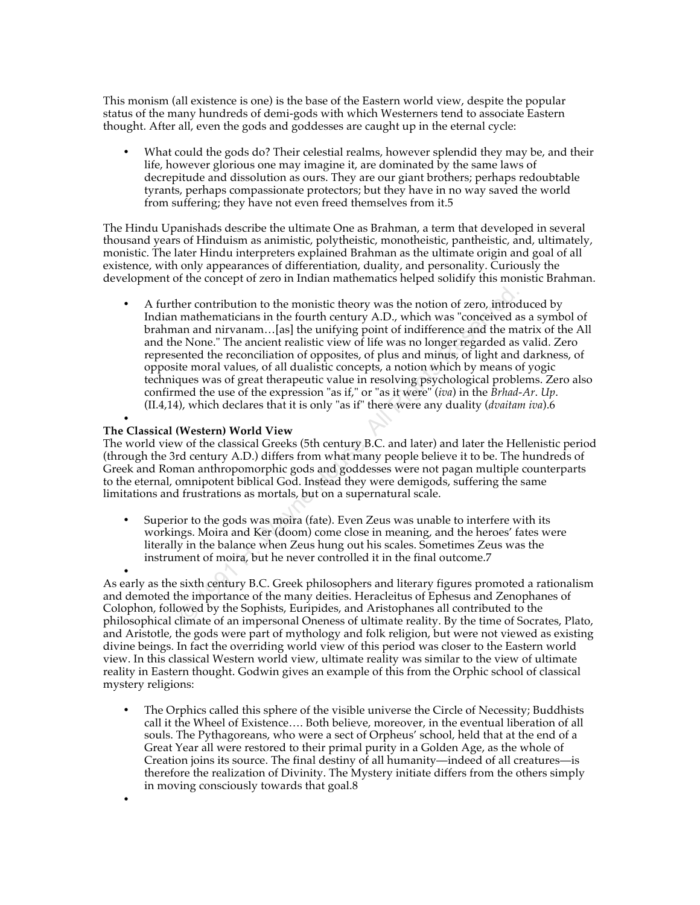This monism (all existence is one) is the base of the Eastern world view, despite the popular status of the many hundreds of demi-gods with which Westerners tend to associate Eastern thought. After all, even the gods and goddesses are caught up in the eternal cycle:

• What could the gods do? Their celestial realms, however splendid they may be, and their life, however glorious one may imagine it, are dominated by the same laws of decrepitude and dissolution as ours. They are our giant brothers; perhaps redoubtable tyrants, perhaps compassionate protectors; but they have in no way saved the world from suffering; they have not even freed themselves from it.5

The Hindu Upanishads describe the ultimate One as Brahman, a term that developed in several thousand years of Hinduism as animistic, polytheistic, monotheistic, pantheistic, and, ultimately, monistic. The later Hindu interpreters explained Brahman as the ultimate origin and goal of all existence, with only appearances of differentiation, duality, and personality. Curiously the development of the concept of zero in Indian mathematics helped solidify this monistic Brahman.

ner contribution to the monistic theory was the notion of zero, introd<br>mathematicians in the fourth century A.D., which was "conceived as<br>an and nirvanam...[as] the unifying point of indifference and the ma<br>end the Mone." • A further contribution to the monistic theory was the notion of zero, introduced by Indian mathematicians in the fourth century A.D., which was "conceived as a symbol of brahman and nirvanam…[as] the unifying point of indifference and the matrix of the All and the None." The ancient realistic view of life was no longer regarded as valid. Zero represented the reconciliation of opposites, of plus and minus, of light and darkness, of opposite moral values, of all dualistic concepts, a notion which by means of yogic techniques was of great therapeutic value in resolving psychological problems. Zero also confirmed the use of the expression "as if," or "as it were" (*iva*) in the *Brhad-Ar*. *Up*. (II.4,14), which declares that it is only "as if" there were any duality (*dvaitam iva*).6

#### • **The Classical (Western) World View**

•

The world view of the classical Greeks (5th century B.C. and later) and later the Hellenistic period (through the 3rd century A.D.) differs from what many people believe it to be. The hundreds of Greek and Roman anthropomorphic gods and goddesses were not pagan multiple counterparts to the eternal, omnipotent biblical God. Instead they were demigods, suffering the same limitations and frustrations as mortals, but on a supernatural scale.

• Superior to the gods was moira (fate). Even Zeus was unable to interfere with its workings. Moira and Ker (doom) come close in meaning, and the heroes' fates were literally in the balance when Zeus hung out his scales. Sometimes Zeus was the instrument of moira, but he never controlled it in the final outcome.7

• As early as the sixth century B.C. Greek philosophers and literary figures promoted a rationalism and demoted the importance of the many deities. Heracleitus of Ephesus and Zenophanes of Colophon, followed by the Sophists, Euripides, and Aristophanes all contributed to the philosophical climate of an impersonal Oneness of ultimate reality. By the time of Socrates, Plato, and Aristotle, the gods were part of mythology and folk religion, but were not viewed as existing divine beings. In fact the overriding world view of this period was closer to the Eastern world view. In this classical Western world view, ultimate reality was similar to the view of ultimate reality in Eastern thought. Godwin gives an example of this from the Orphic school of classical mystery religions:

• The Orphics called this sphere of the visible universe the Circle of Necessity; Buddhists call it the Wheel of Existence…. Both believe, moreover, in the eventual liberation of all souls. The Pythagoreans, who were a sect of Orpheus' school, held that at the end of a Great Year all were restored to their primal purity in a Golden Age, as the whole of Creation joins its source. The final destiny of all humanity—indeed of all creatures—is therefore the realization of Divinity. The Mystery initiate differs from the others simply in moving consciously towards that goal.8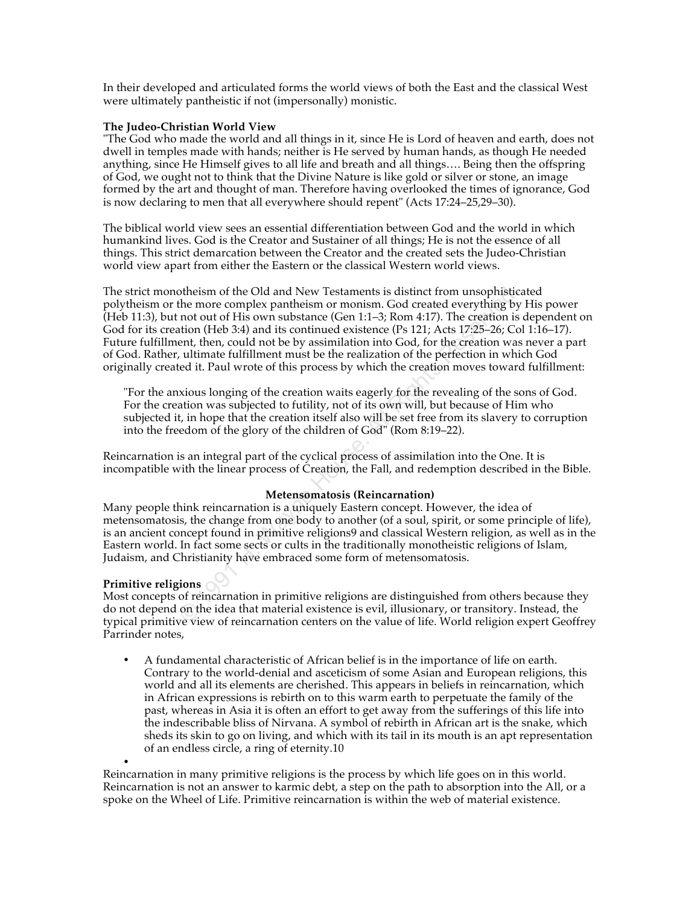In their developed and articulated forms the world views of both the East and the classical West were ultimately pantheistic if not (impersonally) monistic.

### **The Judeo-Christian World View**

"The God who made the world and all things in it, since He is Lord of heaven and earth, does not dwell in temples made with hands; neither is He served by human hands, as though He needed anything, since He Himself gives to all life and breath and all things…. Being then the offspring of God, we ought not to think that the Divine Nature is like gold or silver or stone, an image formed by the art and thought of man. Therefore having overlooked the times of ignorance, God is now declaring to men that all everywhere should repent" (Acts 17:24–25,29–30).

The biblical world view sees an essential differentiation between God and the world in which humankind lives. God is the Creator and Sustainer of all things; He is not the essence of all things. This strict demarcation between the Creator and the created sets the Judeo-Christian world view apart from either the Eastern or the classical Western world views.

of the Old and New Testaments is distinct from unsophisticate the more complex pantheism or monism. God created everything by not mot not of the not conted everything that thom (Heb 3:4) and its continued existence (Ps 121 The strict monotheism of the Old and New Testaments is distinct from unsophisticated polytheism or the more complex pantheism or monism. God created everything by His power (Heb 11:3), but not out of His own substance (Gen 1:1–3; Rom 4:17). The creation is dependent on God for its creation (Heb 3:4) and its continued existence (Ps 121; Acts 17:25–26; Col 1:16–17). Future fulfillment, then, could not be by assimilation into God, for the creation was never a part of God. Rather, ultimate fulfillment must be the realization of the perfection in which God originally created it. Paul wrote of this process by which the creation moves toward fulfillment:

"For the anxious longing of the creation waits eagerly for the revealing of the sons of God. For the creation was subjected to futility, not of its own will, but because of Him who subjected it, in hope that the creation itself also will be set free from its slavery to corruption into the freedom of the glory of the children of God" (Rom 8:19–22).

Reincarnation is an integral part of the cyclical process of assimilation into the One. It is incompatible with the linear process of Creation, the Fall, and redemption described in the Bible.

### **Metensomatosis (Reincarnation)**

Many people think reincarnation is a uniquely Eastern concept. However, the idea of metensomatosis, the change from one body to another (of a soul, spirit, or some principle of life), is an ancient concept found in primitive religions9 and classical Western religion, as well as in the Eastern world. In fact some sects or cults in the traditionally monotheistic religions of Islam, Judaism, and Christianity have embraced some form of metensomatosis.

# **Primitive religions**

Most concepts of reincarnation in primitive religions are distinguished from others because they do not depend on the idea that material existence is evil, illusionary, or transitory. Instead, the typical primitive view of reincarnation centers on the value of life. World religion expert Geoffrey Parrinder notes,

• A fundamental characteristic of African belief is in the importance of life on earth. Contrary to the world-denial and asceticism of some Asian and European religions, this world and all its elements are cherished. This appears in beliefs in reincarnation, which in African expressions is rebirth on to this warm earth to perpetuate the family of the past, whereas in Asia it is often an effort to get away from the sufferings of this life into the indescribable bliss of Nirvana. A symbol of rebirth in African art is the snake, which sheds its skin to go on living, and which with its tail in its mouth is an apt representation of an endless circle, a ring of eternity.10

• Reincarnation in many primitive religions is the process by which life goes on in this world. Reincarnation is not an answer to karmic debt, a step on the path to absorption into the All, or a spoke on the Wheel of Life. Primitive reincarnation is within the web of material existence.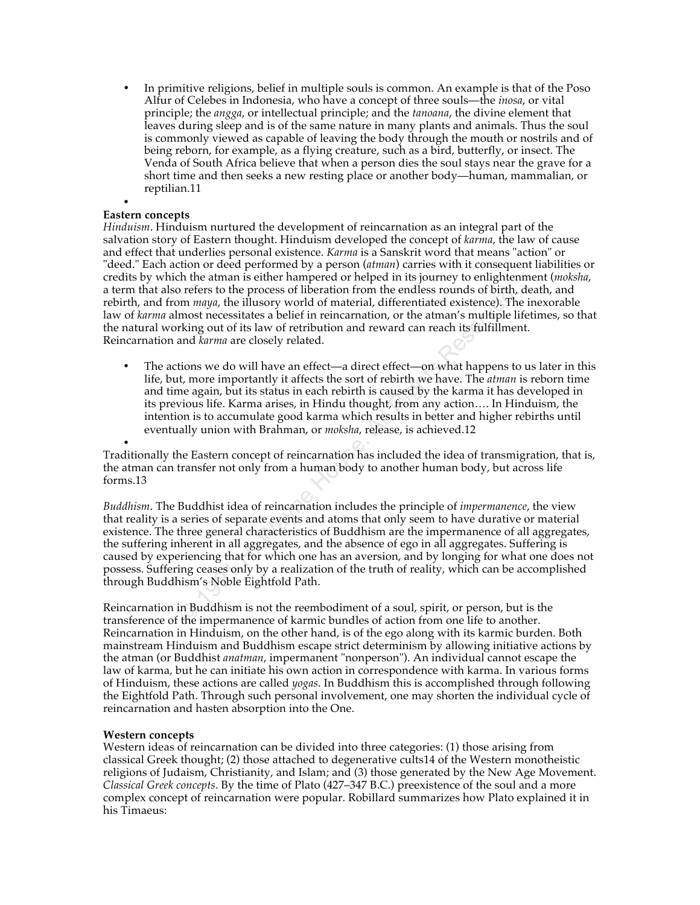• In primitive religions, belief in multiple souls is common. An example is that of the Poso Alfur of Celebes in Indonesia, who have a concept of three souls—the *inosa*, or vital principle; the *angga*, or intellectual principle; and the *tanoana*, the divine element that leaves during sleep and is of the same nature in many plants and animals. Thus the soul is commonly viewed as capable of leaving the body through the mouth or nostrils and of being reborn, for example, as a flying creature, such as a bird, butterfly, or insect. The Venda of South Africa believe that when a person dies the soul stays near the grave for a short time and then seeks a new resting place or another body—human, mammalian, or reptilian.11

#### • **Eastern concepts**

*Hinduism*. Hinduism nurtured the development of reincarnation as an integral part of the salvation story of Eastern thought. Hinduism developed the concept of *karma*, the law of cause and effect that underlies personal existence. *Karma* is a Sanskrit word that means "action" or "deed." Each action or deed performed by a person (*atman*) carries with it consequent liabilities or credits by which the atman is either hampered or helped in its journey to enlightenment (*moksha*, a term that also refers to the process of liberation from the endless rounds of birth, death, and rebirth, and from *maya*, the illusory world of material, differentiated existence). The inexorable law of *karma* almost necessitates a belief in reincarnation, or the atman's multiple lifetimes, so that the natural working out of its law of retribution and reward can reach its fulfillment. Reincarnation and *karma* are closely related.

The actions we do will have an effect—a direct effect—on what happens to us later in this life, but, more importantly it affects the sort of rebirth we have. The *atman* is reborn time and time again, but its status in each rebirth is caused by the karma it has developed in its previous life. Karma arises, in Hindu thought, from any action…. In Hinduism, the intention is to accumulate good karma which results in better and higher rebirths until eventually union with Brahman, or *moksha*, release, is achieved.12

• Traditionally the Eastern concept of reincarnation has included the idea of transmigration, that is, the atman can transfer not only from a human body to another human body, but across life forms.13

the process of liberation from the endless rounds of birth, commanya, the illusory world of material, differentiated existence). The most measure most measure and the material, differentiated existence). The king out of it *Buddhism*. The Buddhist idea of reincarnation includes the principle of *impermanence*, the view that reality is a series of separate events and atoms that only seem to have durative or material existence. The three general characteristics of Buddhism are the impermanence of all aggregates, the suffering inherent in all aggregates, and the absence of ego in all aggregates. Suffering is caused by experiencing that for which one has an aversion, and by longing for what one does not possess. Suffering ceases only by a realization of the truth of reality, which can be accomplished through Buddhism's Noble Eightfold Path.

Reincarnation in Buddhism is not the reembodiment of a soul, spirit, or person, but is the transference of the impermanence of karmic bundles of action from one life to another. Reincarnation in Hinduism, on the other hand, is of the ego along with its karmic burden. Both mainstream Hinduism and Buddhism escape strict determinism by allowing initiative actions by the atman (or Buddhist *anatman*, impermanent "nonperson"). An individual cannot escape the law of karma, but he can initiate his own action in correspondence with karma. In various forms of Hinduism, these actions are called *yogas*. In Buddhism this is accomplished through following the Eightfold Path. Through such personal involvement, one may shorten the individual cycle of reincarnation and hasten absorption into the One.

### **Western concepts**

Western ideas of reincarnation can be divided into three categories: (1) those arising from classical Greek thought; (2) those attached to degenerative cults14 of the Western monotheistic religions of Judaism, Christianity, and Islam; and (3) those generated by the New Age Movement. *Classical Greek concepts*. By the time of Plato (427–347 B.C.) preexistence of the soul and a more complex concept of reincarnation were popular. Robillard summarizes how Plato explained it in his Timaeus: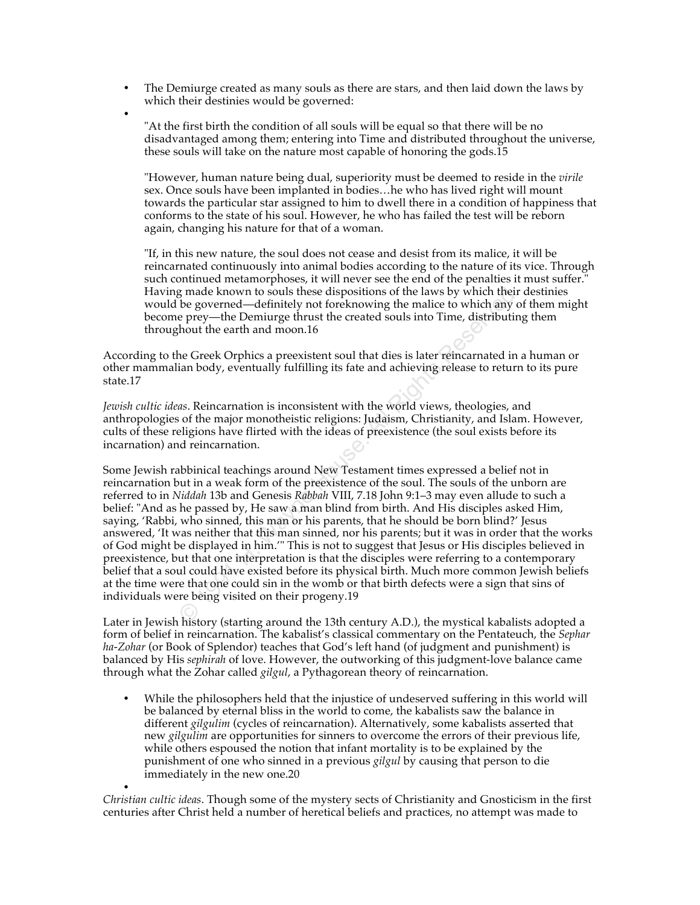- The Demiurge created as many souls as there are stars, and then laid down the laws by which their destinies would be governed:
- •

"At the first birth the condition of all souls will be equal so that there will be no disadvantaged among them; entering into Time and distributed throughout the universe, these souls will take on the nature most capable of honoring the gods.15

"However, human nature being dual, superiority must be deemed to reside in the *virile* sex. Once souls have been implanted in bodies…he who has lived right will mount towards the particular star assigned to him to dwell there in a condition of happiness that conforms to the state of his soul. However, he who has failed the test will be reborn again, changing his nature for that of a woman.

"If, in this new nature, the soul does not cease and desist from its malice, it will be reincarnated continuously into animal bodies according to the nature of its vice. Through such continued metamorphoses, it will never see the end of the penalties it must suffer.<sup>"</sup> Having made known to souls these dispositions of the laws by which their destinies would be governed—definitely not foreknowing the malice to which any of them might become prey—the Demiurge thrust the created souls into Time, distributing them throughout the earth and moon.16

According to the Greek Orphics a preexistent soul that dies is later reincarnated in a human or other mammalian body, eventually fulfilling its fate and achieving release to return to its pure state.17

*Jewish cultic ideas*. Reincarnation is inconsistent with the world views, theologies, and anthropologies of the major monotheistic religions: Judaism, Christianity, and Islam. However, cults of these religions have flirted with the ideas of preexistence (the soul exists before its incarnation) and reincarnation.

g made known to souls these dispositions of the laws by which their<br>be governed—definitely not foreknowing the malice to which any of<br>e governed—definitely not foreknowing the malice to which any of<br>hout the earth and moon Some Jewish rabbinical teachings around New Testament times expressed a belief not in reincarnation but in a weak form of the preexistence of the soul. The souls of the unborn are referred to in *Niddah* 13b and Genesis *Rabbah* VIII, 7.18 John 9:1–3 may even allude to such a belief: "And as he passed by, He saw a man blind from birth. And His disciples asked Him, saying, 'Rabbi, who sinned, this man or his parents, that he should be born blind?' Jesus answered, 'It was neither that this man sinned, nor his parents; but it was in order that the works of God might be displayed in him.'" This is not to suggest that Jesus or His disciples believed in preexistence, but that one interpretation is that the disciples were referring to a contemporary belief that a soul could have existed before its physical birth. Much more common Jewish beliefs at the time were that one could sin in the womb or that birth defects were a sign that sins of individuals were being visited on their progeny.19

Later in Jewish history (starting around the 13th century A.D.), the mystical kabalists adopted a form of belief in reincarnation. The kabalist's classical commentary on the Pentateuch, the *Sephar ha-Zohar* (or Book of Splendor) teaches that God's left hand (of judgment and punishment) is balanced by His *sephirah* of love. However, the outworking of this judgment-love balance came through what the Zohar called *gilgul*, a Pythagorean theory of reincarnation.

• While the philosophers held that the injustice of undeserved suffering in this world will be balanced by eternal bliss in the world to come, the kabalists saw the balance in different *gilgulim* (cycles of reincarnation). Alternatively, some kabalists asserted that new *gilgulim* are opportunities for sinners to overcome the errors of their previous life, while others espoused the notion that infant mortality is to be explained by the punishment of one who sinned in a previous *gilgul* by causing that person to die immediately in the new one.20

• *Christian cultic ideas*. Though some of the mystery sects of Christianity and Gnosticism in the first centuries after Christ held a number of heretical beliefs and practices, no attempt was made to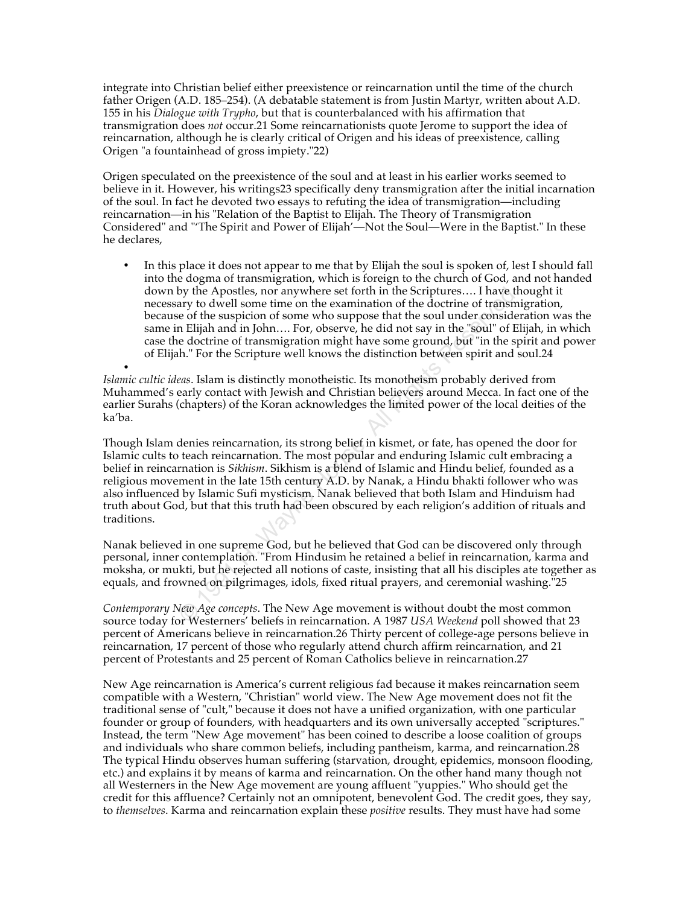integrate into Christian belief either preexistence or reincarnation until the time of the church father Origen (A.D. 185–254). (A debatable statement is from Justin Martyr, written about A.D. 155 in his *Dialogue with Trypho*, but that is counterbalanced with his affirmation that transmigration does *not* occur.21 Some reincarnationists quote Jerome to support the idea of reincarnation, although he is clearly critical of Origen and his ideas of preexistence, calling Origen "a fountainhead of gross impiety."22)

Origen speculated on the preexistence of the soul and at least in his earlier works seemed to believe in it. However, his writings23 specifically deny transmigration after the initial incarnation of the soul. In fact he devoted two essays to refuting the idea of transmigration—including reincarnation—in his "Relation of the Baptist to Elijah. The Theory of Transmigration Considered" and "'The Spirit and Power of Elijah'—Not the Soul—Were in the Baptist." In these he declares,

• In this place it does not appear to me that by Elijah the soul is spoken of, lest I should fall into the dogma of transmigration, which is foreign to the church of God, and not handed down by the Apostles, nor anywhere set forth in the Scriptures…. I have thought it necessary to dwell some time on the examination of the doctrine of transmigration, because of the suspicion of some who suppose that the soul under consideration was the same in Elijah and in John…. For, observe, he did not say in the "soul" of Elijah, in which case the doctrine of transmigration might have some ground, but "in the spirit and power of Elijah." For the Scripture well knows the distinction between spirit and soul.24

• *Islamic cultic ideas*. Islam is distinctly monotheistic. Its monotheism probably derived from Muhammed's early contact with Jewish and Christian believers around Mecca. In fact one of the earlier Surahs (chapters) of the Koran acknowledges the limited power of the local deities of the ka'ba.

by the Apostles, nor anywhere set forth in the Scriptures..... I have the axe ary to dwell some time on the examination of the doctrine of transmit<br>e of the suspicion of some who suppose that the soul under consider<br>n Elij Though Islam denies reincarnation, its strong belief in kismet, or fate, has opened the door for Islamic cults to teach reincarnation. The most popular and enduring Islamic cult embracing a belief in reincarnation is *Sikhism*. Sikhism is a blend of Islamic and Hindu belief, founded as a religious movement in the late 15th century A.D. by Nanak, a Hindu bhakti follower who was also influenced by Islamic Sufi mysticism. Nanak believed that both Islam and Hinduism had truth about God, but that this truth had been obscured by each religion's addition of rituals and traditions.

Nanak believed in one supreme God, but he believed that God can be discovered only through personal, inner contemplation. "From Hindusim he retained a belief in reincarnation, karma and moksha, or mukti, but he rejected all notions of caste, insisting that all his disciples ate together as equals, and frowned on pilgrimages, idols, fixed ritual prayers, and ceremonial washing."25

*Contemporary New Age concepts*. The New Age movement is without doubt the most common source today for Westerners' beliefs in reincarnation. A 1987 *USA Weekend* poll showed that 23 percent of Americans believe in reincarnation.26 Thirty percent of college-age persons believe in reincarnation, 17 percent of those who regularly attend church affirm reincarnation, and 21 percent of Protestants and 25 percent of Roman Catholics believe in reincarnation.27

New Age reincarnation is America's current religious fad because it makes reincarnation seem compatible with a Western, "Christian" world view. The New Age movement does not fit the traditional sense of "cult," because it does not have a unified organization, with one particular founder or group of founders, with headquarters and its own universally accepted "scriptures." Instead, the term "New Age movement" has been coined to describe a loose coalition of groups and individuals who share common beliefs, including pantheism, karma, and reincarnation.28 The typical Hindu observes human suffering (starvation, drought, epidemics, monsoon flooding, etc.) and explains it by means of karma and reincarnation. On the other hand many though not all Westerners in the New Age movement are young affluent "yuppies." Who should get the credit for this affluence? Certainly not an omnipotent, benevolent God. The credit goes, they say, to *themselves*. Karma and reincarnation explain these *positive* results. They must have had some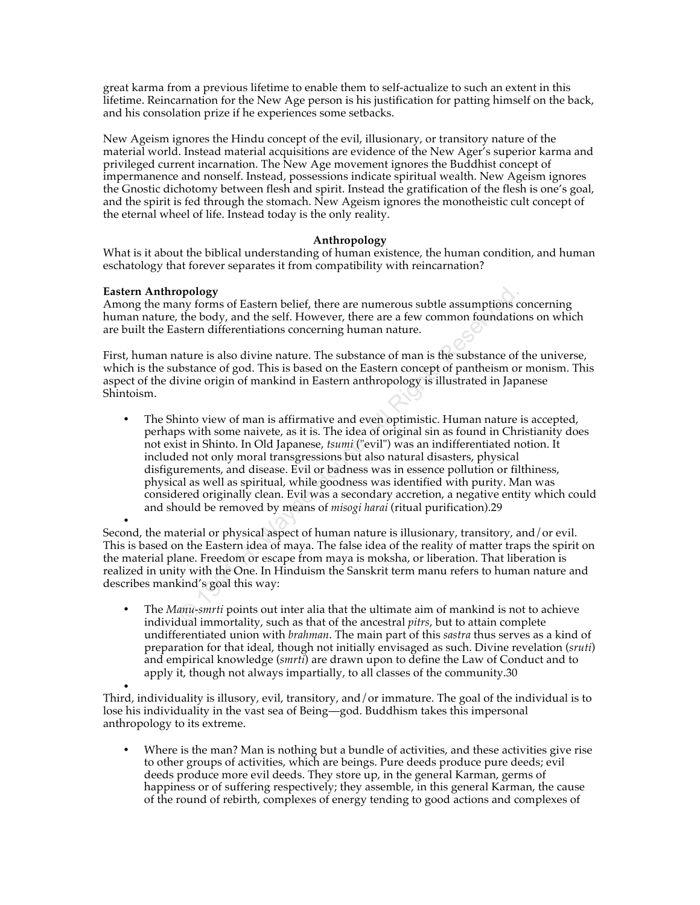great karma from a previous lifetime to enable them to self-actualize to such an extent in this lifetime. Reincarnation for the New Age person is his justification for patting himself on the back, and his consolation prize if he experiences some setbacks.

New Ageism ignores the Hindu concept of the evil, illusionary, or transitory nature of the material world. Instead material acquisitions are evidence of the New Ager's superior karma and privileged current incarnation. The New Age movement ignores the Buddhist concept of impermanence and nonself. Instead, possessions indicate spiritual wealth. New Ageism ignores the Gnostic dichotomy between flesh and spirit. Instead the gratification of the flesh is one's goal, and the spirit is fed through the stomach. New Ageism ignores the monotheistic cult concept of the eternal wheel of life. Instead today is the only reality.

# **Anthropology**

What is it about the biblical understanding of human existence, the human condition, and human eschatology that forever separates it from compatibility with reincarnation?

### **Eastern Anthropology**

Among the many forms of Eastern belief, there are numerous subtle assumptions concerning human nature, the body, and the self. However, there are a few common foundations on which are built the Eastern differentiations concerning human nature.

First, human nature is also divine nature. The substance of man is the substance of the universe, which is the substance of god. This is based on the Eastern concept of pantheism or monism. This aspect of the divine origin of mankind in Eastern anthropology is illustrated in Japanese Shintoism.

**opology**<br>the boody, and the self. However, there are numerous subtle assumptions cot<br>the body, and the self. However, there are a few common foundation<br>stern differentiations concerning human nature.<br>Ature is also divine • The Shinto view of man is affirmative and even optimistic. Human nature is accepted, perhaps with some naivete, as it is. The idea of original sin as found in Christianity does not exist in Shinto. In Old Japanese, *tsumi* ("evil") was an indifferentiated notion. It included not only moral transgressions but also natural disasters, physical disfigurements, and disease. Evil or badness was in essence pollution or filthiness, physical as well as spiritual, while goodness was identified with purity. Man was considered originally clean. Evil was a secondary accretion, a negative entity which could and should be removed by means of *misogi harai* (ritual purification).29

• Second, the material or physical aspect of human nature is illusionary, transitory, and/or evil. This is based on the Eastern idea of maya. The false idea of the reality of matter traps the spirit on the material plane. Freedom or escape from maya is moksha, or liberation. That liberation is realized in unity with the One. In Hinduism the Sanskrit term manu refers to human nature and describes mankind's goal this way:

• The *Manu-smrti* points out inter alia that the ultimate aim of mankind is not to achieve individual immortality, such as that of the ancestral *pitrs*, but to attain complete undifferentiated union with *brahman*. The main part of this *sastra* thus serves as a kind of preparation for that ideal, though not initially envisaged as such. Divine revelation (*sruti*) and empirical knowledge (*smrti*) are drawn upon to define the Law of Conduct and to apply it, though not always impartially, to all classes of the community.30

• Third, individuality is illusory, evil, transitory, and/or immature. The goal of the individual is to lose his individuality in the vast sea of Being—god. Buddhism takes this impersonal anthropology to its extreme.

• Where is the man? Man is nothing but a bundle of activities, and these activities give rise to other groups of activities, which are beings. Pure deeds produce pure deeds; evil deeds produce more evil deeds. They store up, in the general Karman, germs of happiness or of suffering respectively; they assemble, in this general Karman, the cause of the round of rebirth, complexes of energy tending to good actions and complexes of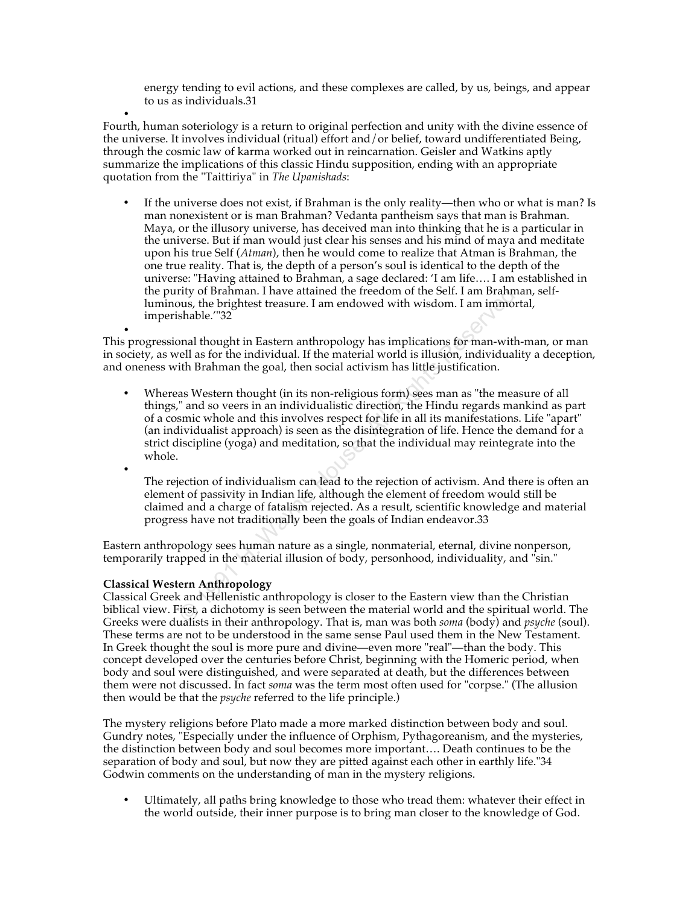energy tending to evil actions, and these complexes are called, by us, beings, and appear to us as individuals.31

• Fourth, human soteriology is a return to original perfection and unity with the divine essence of the universe. It involves individual (ritual) effort and/or belief, toward undifferentiated Being, through the cosmic law of karma worked out in reincarnation. Geisler and Watkins aptly summarize the implications of this classic Hindu supposition, ending with an appropriate quotation from the "Taittiriya" in *The Upanishads*:

• If the universe does not exist, if Brahman is the only reality—then who or what is man? Is man nonexistent or is man Brahman? Vedanta pantheism says that man is Brahman. Maya, or the illusory universe, has deceived man into thinking that he is a particular in the universe. But if man would just clear his senses and his mind of maya and meditate upon his true Self (*Atman*), then he would come to realize that Atman is Brahman, the one true reality. That is, the depth of a person's soul is identical to the depth of the universe: "Having attained to Brahman, a sage declared: 'I am life…. I am established in the purity of Brahman. I have attained the freedom of the Self. I am Brahman, selfluminous, the brightest treasure. I am endowed with wisdom. I am immortal, imperishable.'"32

• This progressional thought in Eastern anthropology has implications for man-with-man, or man in society, as well as for the individual. If the material world is illusion, individuality a deception, and oneness with Brahman the goal, then social activism has little justification.

rity of Brahman. I have attained the freedom of the Self. I am Brahmans, the brightest treasure. I am endowed with wisdom. I am immort, shable."32<br>shable."32<br>panal thought in Eastern anthropology has implications for man-w • Whereas Western thought (in its non-religious form) sees man as "the measure of all things," and so veers in an individualistic direction, the Hindu regards mankind as part of a cosmic whole and this involves respect for life in all its manifestations. Life "apart" (an individualist approach) is seen as the disintegration of life. Hence the demand for a strict discipline (yoga) and meditation, so that the individual may reintegrate into the whole.

The rejection of individualism can lead to the rejection of activism. And there is often an element of passivity in Indian life, although the element of freedom would still be claimed and a charge of fatalism rejected. As a result, scientific knowledge and material progress have not traditionally been the goals of Indian endeavor.33

Eastern anthropology sees human nature as a single, nonmaterial, eternal, divine nonperson, temporarily trapped in the material illusion of body, personhood, individuality, and "sin."

# **Classical Western Anthropology**

•

Classical Greek and Hellenistic anthropology is closer to the Eastern view than the Christian biblical view. First, a dichotomy is seen between the material world and the spiritual world. The Greeks were dualists in their anthropology. That is, man was both *soma* (body) and *psyche* (soul). These terms are not to be understood in the same sense Paul used them in the New Testament. In Greek thought the soul is more pure and divine—even more "real"—than the body. This concept developed over the centuries before Christ, beginning with the Homeric period, when body and soul were distinguished, and were separated at death, but the differences between them were not discussed. In fact *soma* was the term most often used for "corpse." (The allusion then would be that the *psyche* referred to the life principle.)

The mystery religions before Plato made a more marked distinction between body and soul. Gundry notes, "Especially under the influence of Orphism, Pythagoreanism, and the mysteries, the distinction between body and soul becomes more important…. Death continues to be the separation of body and soul, but now they are pitted against each other in earthly life."34 Godwin comments on the understanding of man in the mystery religions.

• Ultimately, all paths bring knowledge to those who tread them: whatever their effect in the world outside, their inner purpose is to bring man closer to the knowledge of God.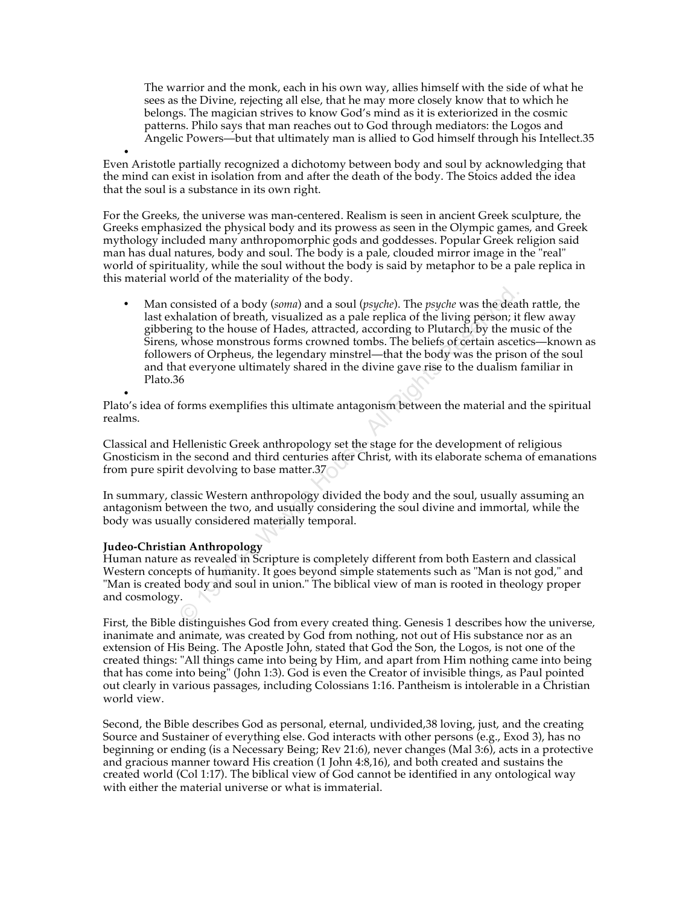The warrior and the monk, each in his own way, allies himself with the side of what he sees as the Divine, rejecting all else, that he may more closely know that to which he belongs. The magician strives to know God's mind as it is exteriorized in the cosmic patterns. Philo says that man reaches out to God through mediators: the Logos and Angelic Powers—but that ultimately man is allied to God himself through his Intellect.35

• Even Aristotle partially recognized a dichotomy between body and soul by acknowledging that the mind can exist in isolation from and after the death of the body. The Stoics added the idea that the soul is a substance in its own right.

For the Greeks, the universe was man-centered. Realism is seen in ancient Greek sculpture, the Greeks emphasized the physical body and its prowess as seen in the Olympic games, and Greek mythology included many anthropomorphic gods and goddesses. Popular Greek religion said man has dual natures, body and soul. The body is a pale, clouded mirror image in the "real" world of spirituality, while the soul without the body is said by metaphor to be a pale replica in this material world of the materiality of the body.

between the abody (soma) and a soul (psyche). The *psyche* was the deathalation of breath, visualized as a pale replica of the living person; it ing to the house of Hades, attracted, according to Plutarch, by the mu whose • Man consisted of a body (*soma*) and a soul (*psyche*). The *psyche* was the death rattle, the last exhalation of breath, visualized as a pale replica of the living person; it flew away gibbering to the house of Hades, attracted, according to Plutarch, by the music of the Sirens, whose monstrous forms crowned tombs. The beliefs of certain ascetics—known as followers of Orpheus, the legendary minstrel—that the body was the prison of the soul and that everyone ultimately shared in the divine gave rise to the dualism familiar in Plato.36

• Plato's idea of forms exemplifies this ultimate antagonism between the material and the spiritual realms.

Classical and Hellenistic Greek anthropology set the stage for the development of religious Gnosticism in the second and third centuries after Christ, with its elaborate schema of emanations from pure spirit devolving to base matter.37

In summary, classic Western anthropology divided the body and the soul, usually assuming an antagonism between the two, and usually considering the soul divine and immortal, while the body was usually considered materially temporal.

### **Judeo-Christian Anthropology**

Human nature as revealed in Scripture is completely different from both Eastern and classical Western concepts of humanity. It goes beyond simple statements such as "Man is not god," and "Man is created body and soul in union." The biblical view of man is rooted in theology proper and cosmology.

First, the Bible distinguishes God from every created thing. Genesis 1 describes how the universe, inanimate and animate, was created by God from nothing, not out of His substance nor as an extension of His Being. The Apostle John, stated that God the Son, the Logos, is not one of the created things: "All things came into being by Him, and apart from Him nothing came into being that has come into being" (John 1:3). God is even the Creator of invisible things, as Paul pointed out clearly in various passages, including Colossians 1:16. Pantheism is intolerable in a Christian world view.

Second, the Bible describes God as personal, eternal, undivided,38 loving, just, and the creating Source and Sustainer of everything else. God interacts with other persons (e.g., Exod 3), has no beginning or ending (is a Necessary Being; Rev 21:6), never changes (Mal 3:6), acts in a protective and gracious manner toward His creation (1 John 4:8,16), and both created and sustains the created world (Col 1:17). The biblical view of God cannot be identified in any ontological way with either the material universe or what is immaterial.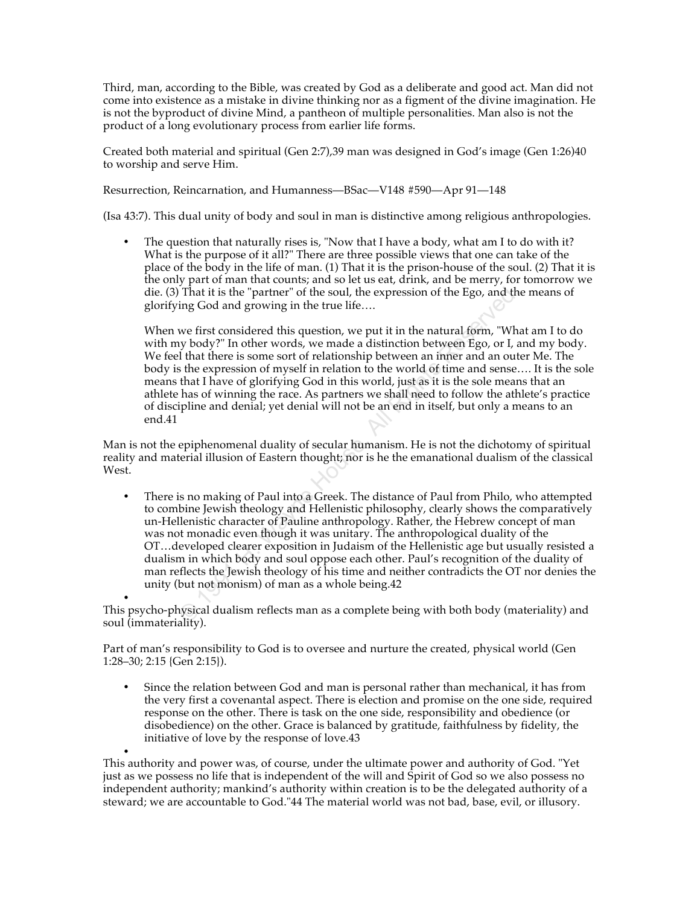Third, man, according to the Bible, was created by God as a deliberate and good act. Man did not come into existence as a mistake in divine thinking nor as a figment of the divine imagination. He is not the byproduct of divine Mind, a pantheon of multiple personalities. Man also is not the product of a long evolutionary process from earlier life forms.

Created both material and spiritual (Gen 2:7),39 man was designed in God's image (Gen 1:26)40 to worship and serve Him.

Resurrection, Reincarnation, and Humanness—BSac—V148 #590—Apr 91—148

(Isa 43:7). This dual unity of body and soul in man is distinctive among religious anthropologies.

• The question that naturally rises is, "Now that I have a body, what am I to do with it? What is the purpose of it all?" There are three possible views that one can take of the place of the body in the life of man. (1) That it is the prison-house of the soul. (2) That it is the only part of man that counts; and so let us eat, drink, and be merry, for tomorrow we die. (3) That it is the "partner" of the soul, the expression of the Ego, and the means of glorifying God and growing in the true life….

When we first considered this question, we put it in the natural form, "What am I to do with my body?" In other words, we made a distinction between Ego, or I, and my body. We feel that there is some sort of relationship between an inner and an outer Me. The body is the expression of myself in relation to the world of time and sense…. It is the sole means that I have of glorifying God in this world, just as it is the sole means that an athlete has of winning the race. As partners we shall need to follow the athlete's practice of discipline and denial; yet denial will not be an end in itself, but only a means to an end.41

Man is not the epiphenomenal duality of secular humanism. He is not the dichotomy of spiritual reality and material illusion of Eastern thought; nor is he the emanational dualism of the classical West.

That it is the "partner" of the soul, the expression of the Ego, and the<br>ing God and growing in the true life....<br>we first considered this question, we put it in the natural form, "Wha<br>y body?" In other words, we made a d • There is no making of Paul into a Greek. The distance of Paul from Philo, who attempted to combine Jewish theology and Hellenistic philosophy, clearly shows the comparatively un-Hellenistic character of Pauline anthropology. Rather, the Hebrew concept of man was not monadic even though it was unitary. The anthropological duality of the OT…developed clearer exposition in Judaism of the Hellenistic age but usually resisted a dualism in which body and soul oppose each other. Paul's recognition of the duality of man reflects the Jewish theology of his time and neither contradicts the OT nor denies the unity (but not monism) of man as a whole being.42

• This psycho-physical dualism reflects man as a complete being with both body (materiality) and soul (immateriality).

Part of man's responsibility to God is to oversee and nurture the created, physical world (Gen 1:28–30; 2:15 {Gen 2:15}).

• Since the relation between God and man is personal rather than mechanical, it has from the very first a covenantal aspect. There is election and promise on the one side, required response on the other. There is task on the one side, responsibility and obedience (or disobedience) on the other. Grace is balanced by gratitude, faithfulness by fidelity, the initiative of love by the response of love.43

• This authority and power was, of course, under the ultimate power and authority of God. "Yet just as we possess no life that is independent of the will and Spirit of God so we also possess no independent authority; mankind's authority within creation is to be the delegated authority of a steward; we are accountable to God."44 The material world was not bad, base, evil, or illusory.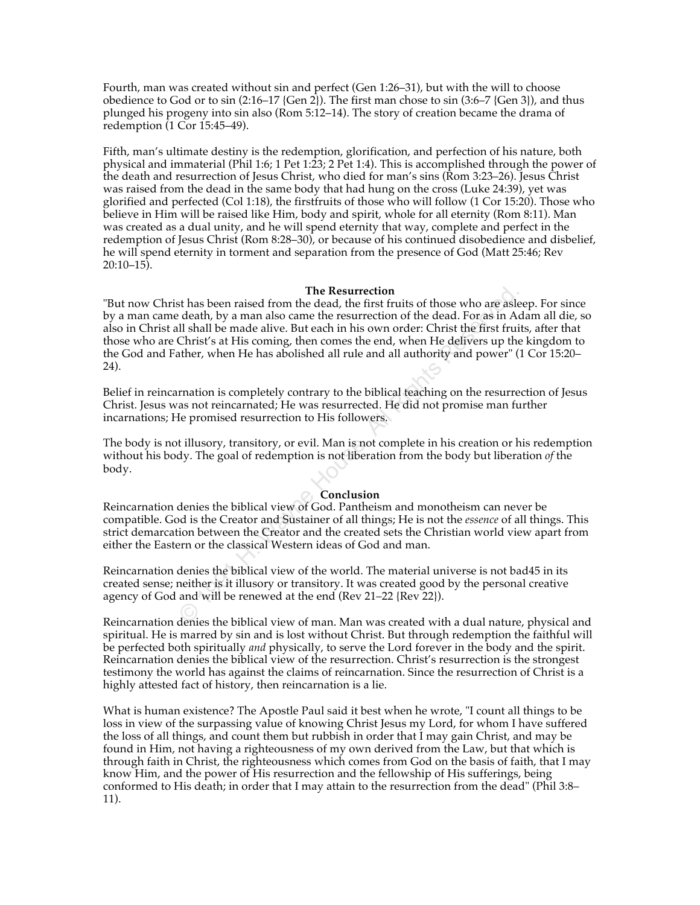Fourth, man was created without sin and perfect (Gen 1:26–31), but with the will to choose obedience to God or to sin (2:16–17 {Gen 2}). The first man chose to sin (3:6–7 {Gen 3}), and thus plunged his progeny into sin also (Rom 5:12–14). The story of creation became the drama of redemption (1 Cor 15:45–49).

Fifth, man's ultimate destiny is the redemption, glorification, and perfection of his nature, both physical and immaterial (Phil 1:6; 1 Pet 1:23; 2 Pet 1:4). This is accomplished through the power of the death and resurrection of Jesus Christ, who died for man's sins (Rom 3:23–26). Jesus Christ was raised from the dead in the same body that had hung on the cross (Luke 24:39), yet was glorified and perfected (Col 1:18), the firstfruits of those who will follow (1 Cor 15:20). Those who believe in Him will be raised like Him, body and spirit, whole for all eternity (Rom 8:11). Man was created as a dual unity, and he will spend eternity that way, complete and perfect in the redemption of Jesus Christ (Rom 8:28–30), or because of his continued disobedience and disbelief, he will spend eternity in torment and separation from the presence of God (Matt 25:46; Rev 20:10–15).

### **The Resurrection**

The Resurrection<br>
the death, by a man also came the etaad, the first fruits of those who are asle<br>
death, by a man also came the resurrection of the dead. For as in Ad<br>
Il shall be made alive. But each in his own order: Ch "But now Christ has been raised from the dead, the first fruits of those who are asleep. For since by a man came death, by a man also came the resurrection of the dead. For as in Adam all die, so also in Christ all shall be made alive. But each in his own order: Christ the first fruits, after that those who are Christ's at His coming, then comes the end, when He delivers up the kingdom to the God and Father, when He has abolished all rule and all authority and power" (1 Cor 15:20– 24).

Belief in reincarnation is completely contrary to the biblical teaching on the resurrection of Jesus Christ. Jesus was not reincarnated; He was resurrected. He did not promise man further incarnations; He promised resurrection to His followers.

The body is not illusory, transitory, or evil. Man is not complete in his creation or his redemption without his body. The goal of redemption is not liberation from the body but liberation *of* the body.

### **Conclusion**

Reincarnation denies the biblical view of God. Pantheism and monotheism can never be compatible. God is the Creator and Sustainer of all things; He is not the *essence* of all things. This strict demarcation between the Creator and the created sets the Christian world view apart from either the Eastern or the classical Western ideas of God and man.

Reincarnation denies the biblical view of the world. The material universe is not bad45 in its created sense; neither is it illusory or transitory. It was created good by the personal creative agency of God and will be renewed at the end (Rev 21–22 {Rev 22}).

Reincarnation denies the biblical view of man. Man was created with a dual nature, physical and spiritual. He is marred by sin and is lost without Christ. But through redemption the faithful will be perfected both spiritually *and* physically, to serve the Lord forever in the body and the spirit. Reincarnation denies the biblical view of the resurrection. Christ's resurrection is the strongest testimony the world has against the claims of reincarnation. Since the resurrection of Christ is a highly attested fact of history, then reincarnation is a lie.

What is human existence? The Apostle Paul said it best when he wrote, "I count all things to be loss in view of the surpassing value of knowing Christ Jesus my Lord, for whom I have suffered the loss of all things, and count them but rubbish in order that I may gain Christ, and may be found in Him, not having a righteousness of my own derived from the Law, but that which is through faith in Christ, the righteousness which comes from God on the basis of faith, that I may know Him, and the power of His resurrection and the fellowship of His sufferings, being conformed to His death; in order that I may attain to the resurrection from the dead" (Phil 3:8– 11).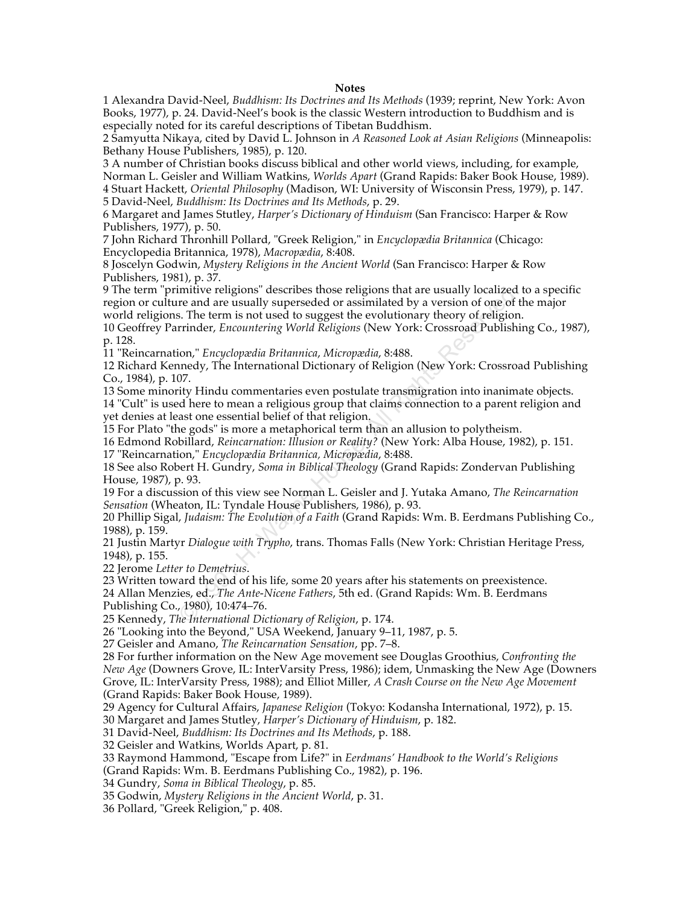### **Notes**

1 Alexandra David-Neel, *Buddhism: Its Doctrines and Its Methods* (1939; reprint, New York: Avon Books, 1977), p. 24. David-Neel's book is the classic Western introduction to Buddhism and is especially noted for its careful descriptions of Tibetan Buddhism.

2 Samyutta Nikaya, cited by David L. Johnson in *A Reasoned Look at Asian Religions* (Minneapolis: Bethany House Publishers, 1985), p. 120.

3 A number of Christian books discuss biblical and other world views, including, for example, Norman L. Geisler and William Watkins, *Worlds Apart* (Grand Rapids: Baker Book House, 1989). 4 Stuart Hackett, *Oriental Philosophy* (Madison, WI: University of Wisconsin Press, 1979), p. 147.

5 David-Neel, *Buddhism: Its Doctrines and Its Methods*, p. 29.

6 Margaret and James Stutley, *Harper's Dictionary of Hinduism* (San Francisco: Harper & Row Publishers, 1977), p. 50.

7 John Richard Thronhill Pollard, "Greek Religion," in *Encyclopædia Britannica* (Chicago: Encyclopedia Britannica, 1978), *Macropædia*, 8:408.

8 Joscelyn Godwin, *Mystery Religions in the Ancient World* (San Francisco: Harper & Row Publishers, 1981), p. 37.

9 The term "primitive religions" describes those religions that are usually localized to a specific region or culture and are usually superseded or assimilated by a version of one of the major world religions. The term is not used to suggest the evolutionary theory of religion.

10 Geoffrey Parrinder, *Encountering World Religions* (New York: Crossroad Publishing Co., 1987), p. 128.

11 "Reincarnation," *Encyclopædia Britannica*, *Micropædia*, 8:488.

12 Richard Kennedy, The International Dictionary of Religion (New York: Crossroad Publishing Co., 1984), p. 107.

mitive religions" describes those religions that are usually localized to assimilated by a version of one of the usually superseded or assimilated by a version of one of the erm is not used to suggest the evolutionary theo 13 Some minority Hindu commentaries even postulate transmigration into inanimate objects. 14 "Cult" is used here to mean a religious group that claims connection to a parent religion and yet denies at least one essential belief of that religion.

15 For Plato "the gods" is more a metaphorical term than an allusion to polytheism.

16 Edmond Robillard, *Reincarnation: Illusion or Reality?* (New York: Alba House, 1982), p. 151. 17 "Reincarnation," *Encyclopædia Britannica, Micropædia*, 8:488.

18 See also Robert H. Gundry, *Soma in Biblical Theology* (Grand Rapids: Zondervan Publishing House, 1987), p. 93.

19 For a discussion of this view see Norman L. Geisler and J. Yutaka Amano, *The Reincarnation Sensation* (Wheaton, IL: Tyndale House Publishers, 1986), p. 93.

20 Phillip Sigal, *Judaism: The Evolution of a Faith* (Grand Rapids: Wm. B. Eerdmans Publishing Co., 1988), p. 159.

21 Justin Martyr *Dialogue with Trypho*, trans. Thomas Falls (New York: Christian Heritage Press, 1948), p. 155.

22 Jerome *Letter to Demetrius*.

23 Written toward the end of his life, some 20 years after his statements on preexistence.

24 Allan Menzies, ed., *The Ante-Nicene Fathers*, 5th ed. (Grand Rapids: Wm. B. Eerdmans Publishing Co., 1980), 10:474–76.

25 Kennedy, *The International Dictionary of Religion*, p. 174.

26 "Looking into the Beyond," USA Weekend, January 9–11, 1987, p. 5.

27 Geisler and Amano, *The Reincarnation Sensation*, pp. 7–8.

28 For further information on the New Age movement see Douglas Groothius, *Confronting the New Age* (Downers Grove, IL: InterVarsity Press, 1986); idem, Unmasking the New Age (Downers Grove, IL: InterVarsity Press, 1988); and Elliot Miller, *A Crash Course on the New Age Movement* (Grand Rapids: Baker Book House, 1989).

29 Agency for Cultural Affairs, *Japanese Religion* (Tokyo: Kodansha International, 1972), p. 15.

30 Margaret and James Stutley, *Harper's Dictionary of Hinduism*, p. 182.

31 David-Neel, *Buddhism: Its Doctrines and Its Methods*, p. 188.

32 Geisler and Watkins, Worlds Apart, p. 81.

33 Raymond Hammond, "Escape from Life?" in *Eerdmans' Handbook to the World's Religions*

(Grand Rapids: Wm. B. Eerdmans Publishing Co., 1982), p. 196.

34 Gundry, *Soma in Biblical Theology*, p. 85.

35 Godwin, *Mystery Religions in the Ancient World*, p. 31.

36 Pollard, "Greek Religion," p. 408.